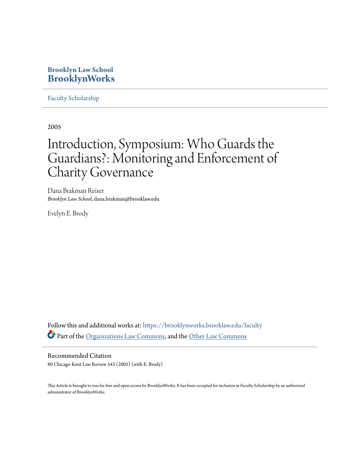# **Brooklyn Law School [BrooklynWorks](https://brooklynworks.brooklaw.edu?utm_source=brooklynworks.brooklaw.edu%2Ffaculty%2F82&utm_medium=PDF&utm_campaign=PDFCoverPages)**

[Faculty Scholarship](https://brooklynworks.brooklaw.edu/faculty?utm_source=brooklynworks.brooklaw.edu%2Ffaculty%2F82&utm_medium=PDF&utm_campaign=PDFCoverPages)

2005

# Introduction, Symposium: Who Guards the Guardians?: Monitoring and Enforcement of Charity Governance

Dana Brakman Reiser *Brooklyn Law School*, dana.brakman@brooklaw.edu

Evelyn E. Brody

Follow this and additional works at: [https://brooklynworks.brooklaw.edu/faculty](https://brooklynworks.brooklaw.edu/faculty?utm_source=brooklynworks.brooklaw.edu%2Ffaculty%2F82&utm_medium=PDF&utm_campaign=PDFCoverPages) Part of the [Organizations Law Commons,](http://network.bepress.com/hgg/discipline/865?utm_source=brooklynworks.brooklaw.edu%2Ffaculty%2F82&utm_medium=PDF&utm_campaign=PDFCoverPages) and the [Other Law Commons](http://network.bepress.com/hgg/discipline/621?utm_source=brooklynworks.brooklaw.edu%2Ffaculty%2F82&utm_medium=PDF&utm_campaign=PDFCoverPages)

Recommended Citation 80 Chicago-Kent Law Review 543 (2005) (with E. Brody)

This Article is brought to you for free and open access by BrooklynWorks. It has been accepted for inclusion in Faculty Scholarship by an authorized administrator of BrooklynWorks.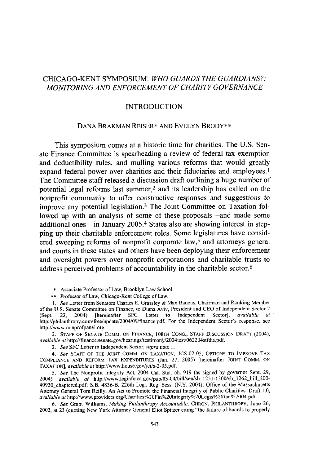# CHICAGO-KENT SYMPOSIUM: *WHO GUARDS THE GUARDIANS?: MONITORING AND ENFORCEMENT OF CHARITY GOVERNANCE*

#### INTRODUCTION

### DANA BRAKMAN REISER\* AND EVELYN BRODY\*\*

This symposium comes at a historic time for charities. The U.S. Senate Finance Committee is spearheading a review of federal tax exemption and deductibility rules, and mulling various reforms that would greatly expand federal power over charities and their fiduciaries and employees. ' The Committee staff released a discussion draft outlining a huge number of potential legal reforms last summer,<sup>2</sup> and its leadership has called on the nonprofit community to offer constructive responses and suggestions to improve any potential legislation.3 The Joint Committee on Taxation followed up with an analysis of some of these proposals—and made some additional ones—in January 2005.<sup>4</sup> States also are showing interest in stepping up their charitable enforcement roles. Some legislatures have considered sweeping reforms of nonprofit corporate law,<sup>5</sup> and attorneys general and courts in these states and others have been deploying their enforcement and oversight powers over nonprofit corporations and charitable trusts to address perceived problems of accountability in the charitable sector.<sup>6</sup>

\* Associate Professor of Law, Brooklyn Law School.

*\*\** Professor of Law, Chicago-Kent College of Law.

**1.** *See* Letter from Senators Charles E. Grassley & Max Baucus, Chairman and Ranking Member of the U.S. Senate Committee on Finance, to Diana Aviv, President and CEO of Independent Sector 2 (Sept. 22, 2004) [hereinafter SFC Letter to Independent Sector], *available at* http://philanthropy.com/free/update/2004/09/finance.pdf. For the Independent Sector's response, see http://www.nonprofpanel.org.

2. STAFF OF **SENATE** COMM. ON **FINANCE, 108TH CONG., STAFF DISCUSSION** DRAFT (2004), *available at* http://finance.senate.gov/hearings/testimony/2004test/062204stfdis.pdf.

*3. See* SFC Letter to Independent Sector, *vupra* note **1.**

*4. See* **STAFF** OF THE **JOINT** COMM. **ON TAXATION,** JCS-02-05, **OPTIONS** TO IMPROVE TAX **COMPLIANCE AND** REFORM TAX **EXPENDITURES** (Jan. 27, 2005) [hereinafter **JOINT** COMM. **ON TAXATION],** *available at* http://www.house.gov/jct/s-2-05.pdf.

*5. See* The Nonprofit Integrity Act, 2004 Cal. Stat. ch. 919 (as signed by governor Sept. 29, 2004), *available at* http://www.leginfo.ca.gov/pub/O3-04/bill/sen/sb\_1251-1300/sb\_1262\_bill\_200- 40930 chaptered.pdf; S.B. 4836-B, 226th Leg., Reg. Sess. (N.Y. 2004); Office of the Massachusetts Attorney General Tom Reilly, An Act to Promote the Financial Integrity of Public Charities: Draft 1.0, *available at* http://www.providers.org/Charities%20Fin%20lntegrity%20Legis%2OJan%2004.pdf.

*6. See* Grant Williams, *Making Philanthropy Accountable,* CHRON. PHILANTHROPY, June 26, 2003, at 23 (quoting New York Attorney General Eliot Spitzer citing "the failure of boards to properly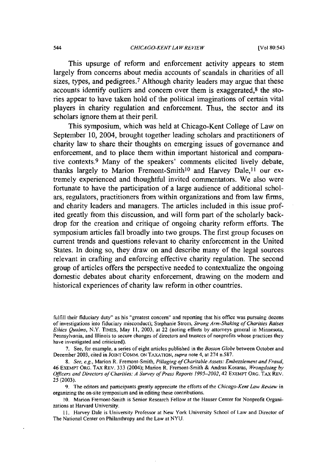This upsurge of reform and enforcement activity appears to stem largely from concerns about media accounts of scandals in charities of all sizes, types, and pedigrees.<sup>7</sup> Although charity leaders may argue that these accounts identify outliers and concern over them is exaggerated,8 the stories appear to have taken hold of the political imaginations of certain vital players in charity regulation and enforcement. Thus, the sector and its scholars ignore them at their peril.

This symposium, which was held at Chicago-Kent College of Law on September 10, 2004, brought together leading scholars and practitioners of charity law to share their thoughts on emerging issues of governance and enforcement, and to place them within important historical and comparative contexts.9 Many of the speakers' comments elicited lively debate, thanks largely to Marion Fremont-Smith<sup>10</sup> and Harvey Dale,<sup>11</sup> our extremely experienced and thoughtful invited commentators. We also were fortunate to have the participation of a large audience of additional scholars, regulators, practitioners from within organizations and from law firms, and charity leaders and managers. The articles included in this issue profited greatly from this discussion, and will form part of the scholarly backdrop for the creation and critique of ongoing charity reform efforts. The symposium articles fall broadly into two groups. The first group focuses on current trends and questions relevant to charity enforcement in the United States. In doing so, they draw on and describe many of the legal sources relevant in crafting and enforcing effective charity regulation. The second group of articles offers the perspective needed to contextualize the ongoing domestic debates about charity enforcement, drawing on the modem and historical experiences of charity law reform in other countries.

**9-** The editors and participants greatly appreciate the efforts of the *Chicago-Kent Law Review* in organizing the on-site symposium and in editing these contributions.

**10-** Marion Fremont-Smith is Senior Research Fellow at the Hauser Center for Nonprofit Organizations at Harvard University.

**11.** Harvey Dale is University Professor at New York University School of Law and Director of The National Center on Philanthropy and the Law at NYU.

fulfill their fiduciary duty" as his "greatest concern" and reporting that his office was pursuing dozens of investigations into fiduciary misconduct); Stephanie Strom, *Strong Arm-Shaking of Charities Raises Ethics Qualms,* N.Y. TiMES, May **11,** 2003, at 22 (noting efforts by attorneys general in Minnesota, Pennsylvania, and Illinois to secure changes of directors and trustees of nonprofits whose practices they have investigated and criticized).

<sup>7.</sup> See, for example, a series of eight articles published in the *Boston Globe* between October and December 2003, cited in JOINT COMM. ON TAXATION, *supra* note 4, at 274 n.587.

*<sup>8.</sup> See, e.g.,* Marion R. Fremont-Smith, *Pillaging of Charitable Assets: Embezzlement and Fraud,* 46 EXEMPT ORG. TAX **REv.** 333 (2004); Marion R. Fremont-Smith & Andras Kosaras, *Wrongdoing by Officers and Directors of Charities: A Survey of Press Reports 1995-2002,* 42 EXEMPT **ORG.** TAX REV. 25 (2003).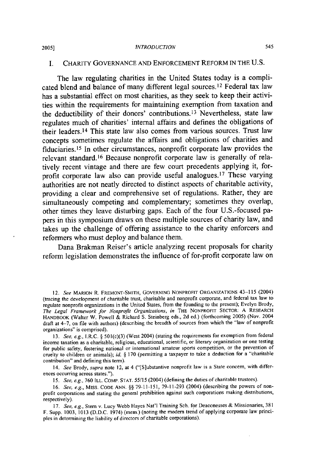#### *INTRODUCTION*

## I. CHARITY GOVERNANCE AND ENFORCEMENT REFORM IN THE U.S.

The law regulating charities in the United States today is a complicated blend and balance of many different legal sources. **1 <sup>2</sup>**Federal tax law has a substantial effect on most charities, as they seek to keep their activities within the requirements for maintaining exemption from taxation and the deductibility of their donors' contributions. 13 Nevertheless, state law regulates much of charities' internal affairs and defines the obligations of their leaders. 14 This state law also comes from various sources. Trust law concepts sometimes regulate the affairs and obligations of charities and fiduciaries. 15 In other circumstances, nonprofit corporate law provides the relevant standard. 16 Because nonprofit corporate law is generally of relatively recent vintage and there are few court precedents applying it, forprofit corporate law also can provide useful analogues. 17 These varying authorities are not neatly directed to distinct aspects of charitable activity, providing a clear and comprehensive set of regulations. Rather, they are simultaneously competing and complementary; sometimes they overlap, other times they leave disturbing gaps. Each of the four U.S.-focused papers in this symposium draws on these multiple sources of charity law, and takes up the challenge of offering assistance to the charity enforcers and reformers who must deploy and balance them.

Dana Brakman Reiser's article analyzing recent proposals for charity reform legislation demonstrates the influence of for-profit corporate law on

13. See, e.g., I.R.C. § 501(c)(3) (West 2004) (stating the requirements for exemption from federal income taxation as a charitable, religious, educational, scientific, or literary organization or one testing for public safety, fostering national or international amateur sports competition, or the prevention of cruelty to children or animals); id. § 170 (permitting a taxpayer to take a deduction for a "charitable contribution" and defining this term).

14. See Brody, supra note 12, at 4 ("[S]ubstantive nonprofit law is a State concern, with differences occurring across states.").

15. See, e.g., 760 ILL. COMP. STAT. 55/15 (2004) (defining the duties of charitable trustees).

16. See, e.g., MISS. CODE ANN. §§ 79-11-151, 79-11-293 (2004) (describing the powers of nonprofit corporations and stating the general prohibition against such corporations making distributions, respectively)-

**2005]**

<sup>12.</sup> *See* MARION R. **FREMONT-SMITH, GOVERNING** NONPROFIT ORGANIZATIONS 43-115 (2004) (tracing the development of charitable trust, charitable and nonprofit corporate, and federal tax law to regulate nonprofit organizations in the United States, from the founding to the present); Evelyn Brody, *The Legal Framework for Nonprofit Organizations, in* THE NONPROFIT SECTOR: A RESEARCH HANDBOOK (Walter W. Powell & Richard S. Steinberg eds., 2d ed.) (forthcoming 2005) (Nov. 2004 draft at 4-7, on **file** with authors) (describing the breadth of sources from which the "law of nonprofit organizations" is comprised).

<sup>17.</sup> See, e.g., Stem v. Lucy Webb Hayes Nat'l Training **Sch.** for Deaconesses & Missionaries, 381 F. Supp. 1003, 1013 (D.D.C. 1974) (mem.) (noting the modern trend of applying corporate law principles in determining the liability of directors of charitable corporations).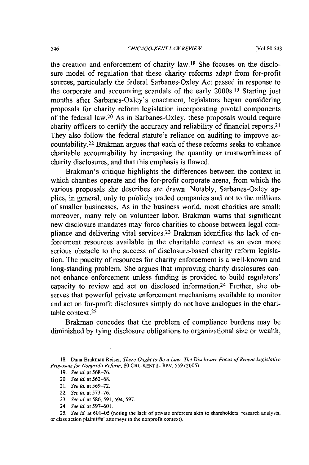[Vol **80:543**

the creation and enforcement of charity law. 18 She focuses on the disclosure model of regulation that these charity reforms adapt from for-profit sources, particularly the federal Sarbanes-Oxley Act passed in response to the corporate and accounting scandals of the early 2000s. 19 Starting just months after Sarbanes-Oxley's enactment, legislators began considering proposals for charity reform legislation incorporating pivotal components of the federal law.<sup>20</sup> As in Sarbanes-Oxley, these proposals would require charity officers to certify the accuracy and reliability of financial reports. <sup>21</sup> They also follow the federal statute's reliance on auditing to improve accountability. 22 Brakman argues that each of these reforms seeks to enhance charitable accountability by increasing the quantity or trustworthiness of charity disclosures, and that this emphasis is flawed.

Brakman's critique highlights the differences between the context in which charities operate and the for-profit corporate arena, from which the various proposals she describes are drawn. Notably, Sarbanes-Oxley applies, in general, only to publicly traded companies and not to the millions of smaller businesses. As in the business world, most charities are small; moreover, many rely on volunteer labor. Brakman warns that significant new disclosure mandates may force charities to choose between legal compliance and delivering vital services.<sup>23</sup> Brakman identifies the lack of enforcement resources available in the charitable context as an even more serious obstacle to the success of disclosure-based charity reform legislation. The paucity of resources for charity enforcement is a well-known and long-standing problem. She argues that improving charity disclosures cannot enhance enforcement unless funding is provided to build regulators' capacity to review and act on disclosed information.24 Further, she observes that powerful private enforcement mechanisms available to monitor and act on for-profit disclosures simply do not have analogues in the charitable context.<sup>25</sup>

Brakman concedes that the problem of compliance burdens may be diminished by tying disclosure obligations to organizational size or wealth,

25. *See id.* at 601-05 (noting the lack of private enforcers akin to shareholders, research analysts, or class action plaintiffs' attorneys in the nonprofit context).

<sup>18.</sup> Dana Brakman Reiser, There Ought to Be *a Law: The Disclosure* Focus of Recent Legislative *Proposals* for *Nonprofit Reform,* 80 **CHI.-KENT** L. REv. **559 (2005).**

**<sup>19.</sup>** See *id.* at 568-76.

<sup>20.</sup> See *id.* at 562-68.

<sup>21.</sup> See id. at 569-72.

<sup>22.</sup> See *id.* at 573-76.

<sup>23.</sup> See id at **586, 591,594, 597.**

<sup>24.</sup> See id. at 597-601.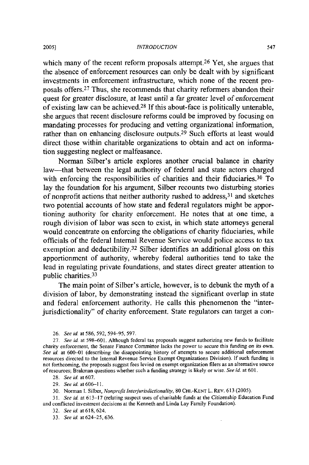which many of the recent reform proposals attempt.<sup>26</sup> Yet, she argues that the absence of enforcement resources can only be dealt with by significant investments in enforcement infrastructure, which none of the recent proposals offers.27 Thus, she recommends that charity reformers abandon their quest for greater disclosure, at least until a far greater level of enforcement of existing law can be achieved.<sup>28</sup> If this about-face is politically untenable, she argues that recent disclosure reforms could be improved by focusing on mandating processes for producing and vetting organizational information, rather than on enhancing disclosure outputs.<sup>29</sup> Such efforts at least would direct those within charitable organizations to obtain and act on information suggesting neglect or malfeasance.

Norman Silber's article explores another crucial balance in charity law-that between the legal authority of federal and state actors charged with enforcing the responsibilities of charities and their fiduciaries.<sup>30</sup> To lay the foundation for his argument, Silber recounts two disturbing stories of nonprofit actions that neither authority rushed to address, 31 and sketches two potential accounts of how state and federal regulators might be apportioning authority for charity enforcement. He notes that at one time, a rough division of labor was seen to exist, in which state attorneys general would concentrate on enforcing the obligations of charity fiduciaries, while officials of the federal Internal Revenue Service would police access to tax exemption and deductibility.32 Silber identifies an additional gloss on this apportionment of authority, whereby federal authorities tend to take the lead in regulating private foundations, and states direct greater attention to public charities.<sup>33</sup>

The main point of Silber's article, however, is to debunk the myth of a division of labor, by demonstrating instead the significant overlap in state and federal enforcement authority. He calls this phenomenon the "interjurisdictionality" of charity enforcement. State regulators can target a con-

29. *See id.* at 606-11.

30. Norman I. Silber, *Nonprofit* Interjurisdictionality, 80 CHI.-KENT L. REV. 613 (2005).

*31. See id.* at 613-17 (relating suspect uses of charitable fimds at the Citizenship Education Fund and conflicted investment decisions at the Kenneth and Linda Lay Family Foundation).

33. *See id.* at 624-25,636.

<sup>26.</sup> *See id.* at 586, 592, 594-95, 597.

**<sup>27.</sup>** *See id.* at 598-601. Although federal tax proposals suggest authorizing new funds to facilitate *charity enforcement,* the Senate Finance Committee lacks the power to secure this funding *on its* own. See id. at 600-01 (describing the disappointing history of attempts to secure additional enforcement resources directed to the Internal Revenue Service Exempt Organizations Division). If such funding is not forthcoming, the proposals suggest fees levied on exempt organization filers as an alternative source of resources; Brakman questions whether such a funding strategy is likely or wise. *See id.* at 601.

<sup>28.</sup> *See id.* at 607.

<sup>32.</sup> *See id.* at 618, 624.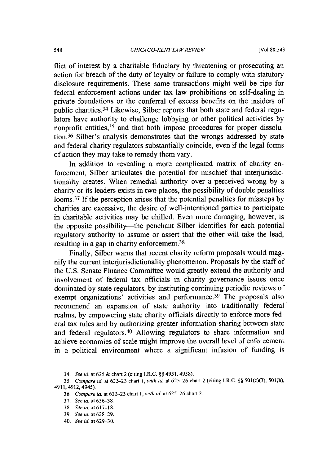flict of interest by a charitable fiduciary by threatening or prosecuting an action for breach of the duty of loyalty or failure to comply with statutory disclosure requirements. These same transactions might well be ripe for federal enforcement actions under tax law prohibitions on self-dealing in private foundations or the conferral of excess benefits on the insiders of public charities.34 Likewise, Silber reports that both state and federal regulators have authority to challenge lobbying or other political activities by nonprofit entities,<sup>35</sup> and that both impose procedures for proper dissolution.36 Silber's analysis demonstrates that the wrongs addressed by state and federal charity regulators substantially coincide, even if the legal forms of action they may take to remedy them vary.

In addition to revealing a more complicated matrix of charity enforcement, Silber articulates the potential for mischief that interjurisdictionality creates. When remedial authority over a perceived wrong by a charity or its leaders exists in two places, the possibility of double penalties looms.<sup>37</sup> If the perception arises that the potential penalties for missteps by charities are excessive, the desire of well-intentioned parties to participate in charitable activities may be chilled. Even more damaging, however, is the opposite possibility-the penchant Silber identifies for each potential regulatory authority to assume or assert that the other will take the lead, resulting in a gap in charity enforcement.<sup>38</sup>

Finally, Silber warns that recent charity reform proposals would magnify the current interjurisdictionality phenomenon. Proposals by the staff of the U.S. Senate Finance Committee would greatly extend the authority and involvement of federal tax officials in charity governance issues once dominated by state regulators, by instituting continuing periodic reviews of exempt organizations' activities and performance.<sup>39</sup> The proposals also recommend an expansion of state authority into traditionally federal realms, by empowering state charity officials directly to enforce more federal tax rules and by authorizing greater information-sharing between state and federal regulators.40 Allowing regulators to share information and achieve economies of scale might improve the overall level of enforcement in a political environment where a significant infusion of funding is

34. *See id.* at 625 & chart 2 (citing I.R.C. §§ 4951, 4958).

<sup>35.</sup> *Compare id.* at 622-23 chart 1, *with id.* at 625-26 chart 2 (citing I.R.C. **§§** 501(c)(3), 501(h), 4911, 4912, 4945).

<sup>36.</sup> *Compare id.* at 622-23 chart *1, with id.* at 625-26 chart 2.

<sup>37.</sup> *Seeid* at636-38

<sup>38.</sup> *See id. at617-18.*

<sup>39.</sup> *See id.* at 628-29.

<sup>40.</sup> *See id.* at 629-30.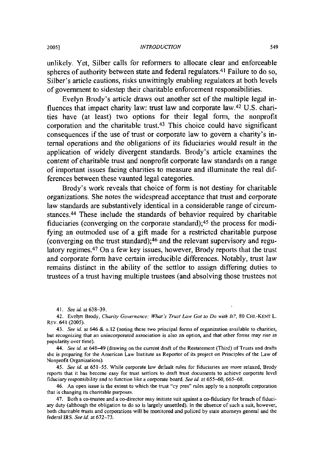unlikely. Yet, Silber calls for reformers to allocate clear and enforceable spheres of authority between state and federal regulators.<sup>41</sup> Failure to do so, Silber's article cautions, risks unwittingly enabling regulators at both levels of government to sidestep their charitable enforcement responsibilities.

Evelyn Brody's article draws out another set of the multiple legal influences that impact charity law: trust law and corporate law.42 **U.S.** charities have (at least) two options for their legal form, the nonprofit corporation and the charitable trust.43 This choice could have significant consequences if the use of trust or corporate law to govern a charity's internal operations and the obligations of its fiduciaries would result in the application of widely divergent standards. Brody's article examines the content of charitable trust and nonprofit corporate law standards on a range of important issues facing charities to measure and illuminate the real differences between these vaunted legal categories.

Brody's work reveals that choice of form is not destiny for charitable organizations. She notes the widespread acceptance that trust and corporate law standards are substantively identical in a considerable range of circumstances. 44 These include the standards of behavior required **by** charitable fiduciaries (converging on the corporate standard);45 the process for modifying an outmoded use of a gift made for a restricted charitable purpose (converging on the trust standard); 46 and the relevant supervisory and regulatory regimes. 47 On a few key issues, however, Brody reports that the trust and corporate form have certain irreducible differences. Notably, trust law remains distinct in the ability of the settlor to assign differing duties to trustees of a trust having multiple trustees (and absolving those trustees not

41. *See id.* at 638–39.

42. Evelyn Brody, **Charity Governance: What's** Trust **Law Got to Do with** It?, **80** CHI.-KENT L. REv. 641 (2005).

43. See *id.* at 646 & n.12 (noting these two principal forms of organization available to charities, but **recognizing** that an **unincorporated association is also** an option, and that **other forms may rise in** popularity over time).

44. See *id.* at 648-49 (drawing on the current draft of the Restatement (Third) of Trusts and drafts she is preparing for the American Law Institute as Reporter of **its** project on Principles of the Law **of** Nonprofit Organizations).

45. **See id.** at **651-55.** While corporate law default rules for fiduciaries are more relaxed, Brody reports that it has become easy for trust settlors to draft trust documents to achieve corporate level fiduciary responsibility and to **function** like a corporate board. See *id.* at 655-60, 665-68.

46. An open issue is the extent to which the trust "cy pres" rules apply to a nonprofit corporation that is changing its charitable purposes.

47. Both a co-trustee and a co-director may initiate suit against a co-fiduciary for breach of fiduciary duty (although the obligation to do so is largely unsettled). In the absence of such a suit, however, both charitable trusts and corporations will be monitored and policed **by** state attorneys general and the federal IRS. **See** *id.* at 672-73.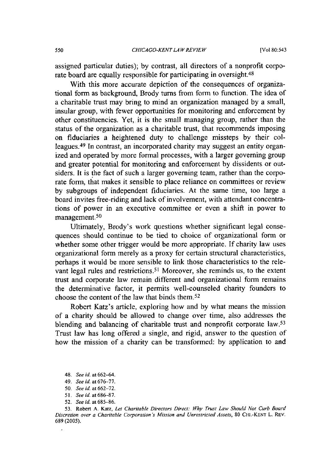assigned particular duties); by contrast, all directors of a nonprofit corporate board are equally responsible for participating in oversight.<sup>48</sup>

With this more accurate depiction of the consequences of organizational form as background, Brody turns from form to function. The idea of a charitable trust may bring to mind an organization managed by a small, insular group, with fewer opportunities for monitoring and enforcement by other constituencies. Yet, it is the small managing group, rather than the status of the organization as a charitable trust, that recommends imposing on fiduciaries a heightened duty to challenge missteps by their colleagues.<sup>49</sup> In contrast, an incorporated charity may suggest an entity organized and operated by more formal processes, with a larger governing group and greater potential for monitoring and enforcement by dissidents or outsiders. It is the fact of such a larger governing team, rather than the corporate form, that makes it sensible to place reliance on committees or review by subgroups of independent fiduciaries. At the same time, too large a board invites free-riding and lack of involvement, with attendant concentrations of power in an executive committee or even a shift in power to management.<sup>50</sup>

Ultimately, Brody's work questions whether significant legal consequences should continue to be tied to choice of organizational form or whether some other trigger would be more appropriate. If charity law uses organizational form merely as a proxy for certain structural characteristics, perhaps it would be more sensible to link those characteristics to the relevant legal rules and restrictions.<sup>51</sup> Moreover, she reminds us, to the extent trust and corporate law remain different and organizational form remains the determinative factor, it permits well-counseled charity founders to choose the content of the law that binds them.<sup>52</sup>

Robert Katz's article, exploring how and by what means the mission of a charity should be allowed to change over time, also addresses the blending and balancing of charitable trust and nonprofit corporate law.<sup>53</sup> Trust law has long offered a single, and rigid, answer to the question of how the mission of a charity can be transformed: by application to and

- 50. *See id.* at **662-72.**
- **51.** *Seeid.* **at686-87.**
- 52. *See id.* at **685-86.**

53. Robert A. Katz, *Let Charitable Directors Direct: Why Trust Law Should Not Curb Board Discretion over a Charitable Corporation 's Mission and Unrestricted Assets,* **80 CHI.-KENT** L. REV. **689 (2005).**

<sup>48.</sup> *See id.* at **662-64.**

<sup>49.</sup> *See id.* at 676-77.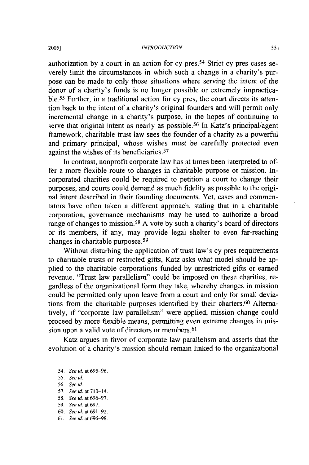#### *INTRODUCTION*

authorization by a court in an action for cy pres. 54 Strict cy pres cases severely limit the circumstances in which such a change in a charity's purpose can be made to only those situations where serving the intent of the donor of a charity's funds is no longer possible or extremely impracticable. 55 Further, in a traditional action for cy pres, the court directs its attention back to the intent of a charity's original founders and will permit only incremental change in a charity's purpose, in the hopes of continuing to serve that original intent as nearly as possible.<sup>56</sup> In Katz's principal/agent framework, charitable trust law sees the founder of a charity as a powerful and primary principal, whose wishes must be carefully protected even against the wishes of its beneficiaries. <sup>57</sup>

In contrast, nonprofit corporate law has at times been interpreted to offer a more flexible route to changes in charitable purpose or mission. Incorporated charities could be required to petition a court to change their purposes, and courts could demand as much fidelity as possible to the original intent described in their founding documents. Yet, cases and commentators have often taken a different approach, stating that in a charitable corporation, governance mechanisms may be used to authorize a broad range of changes to mission.58 A vote by such a charity's board of directors or its members, if any, may provide legal shelter to even far-reaching changes in charitable purposes. <sup>59</sup>

Without disturbing the application of trust law's cy pres requirements to charitable trusts or restricted gifts, Katz asks what model should be applied to the charitable corporations funded by unrestricted gifts or earned revenue. "Trust law parallelism" could be imposed on these charities, regardless of the organizational form they take, whereby changes in mission could be permitted only upon leave from a court and only for small deviations from the charitable purposes identified by their charters.<sup>60</sup> Alternatively, if "corporate law parallelism" were applied, mission change could proceed by more flexible means, permitting even extreme changes in mission upon a valid vote of directors or members. <sup>61</sup>

Katz argues in favor of corporate law parallelism and asserts that the evolution of a charity's mission should remain linked to the organizational

- 54. *See id.* at 695-96. 55. *See id.*
- 56. *See id.* **57.** *Seeid.* at710-14. 58. *See id.* at 696-97. 59, *See id.* at 697. 60. *See id.* at 691-92. *61, See id. at* 696-98.

2005]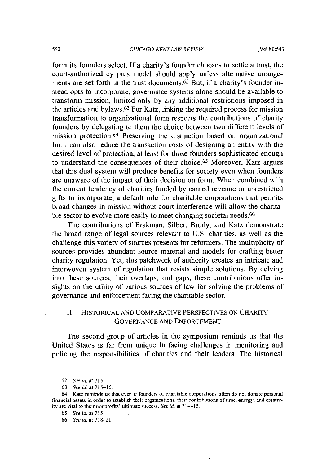#### *CHICAGO-KENT LA W REVIEW*

[Vol 80:543]

form its founders select. If a charity's founder chooses to settle a trust, the court-authorized cy pres model should apply unless alternative arrangements are set forth in the trust documents.<sup>62</sup> But, if a charity's founder instead opts to incorporate, governance systems alone should be available to transform mission, limited only by any additional restrictions imposed in the articles and bylaws.63 For Katz, linking the required process for mission transformation to organizational form respects the contributions of charity founders by delegating to them the choice between two different levels of mission protection. 64 Preserving the distinction based on organizational form can also reduce the transaction costs of designing an entity with the desired level of protection, at least for those founders sophisticated enough to understand the consequences of their choice. 65 Moreover, Katz argues that this dual system will produce benefits for society even when founders are unaware of the impact of their decision on form. When combined with the current tendency of charities funded by earned revenue or unrestricted gifts to incorporate, a default rule for charitable corporations that permits broad changes in mission without court interference will allow the charitable sector to evolve more easily to meet changing societal needs.<sup>66</sup>

The contributions of Brakman, Silber, Brody, and Katz demonstrate the broad range of legal sources relevant to U.S. charities, as well as the challenge this variety of sources presents for reformers. The multiplicity of sources provides abundant source material and models for crafting better charity regulation. Yet, this patchwork of authority creates an intricate and interwoven system of regulation that resists simple solutions. By delving into these sources, their overlaps, and gaps, these contributions offer insights on the utility of various sources of law for solving the problems of governance and enforcement facing the charitable sector.

# II. HISTORICAL **AND** COMPARATIVE PERSPECTIVES **ON** CHARITY GOVERNANCE AND ENFORCEMENT

The second group of articles in the symposium reminds us that the United States is far from unique in facing challenges in monitoring and policing the responsibilities of charities and their leaders. The historical

<sup>62.</sup> *Seeid.* at 715.

**<sup>63.</sup>** *Seeid.* at **715-16.**

<sup>64.</sup> Katz reminds us that even if founders of charitable corporations often **do not** donate personal financial assets in order to establish their organizations, their contributions of time, energy, and creativity are vital to their nonprofits' ultimate success. *See id,* at 714-15.

<sup>65.</sup> *See id.* at 715.

<sup>66.</sup> *See id.* at **718-21.**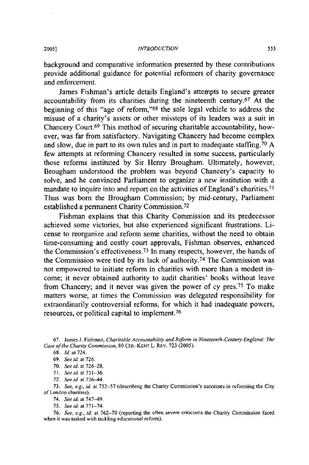#### *INTRODUCTION*

background and comparative information presented by these contributions provide additional guidance for potential reformers of charity governance and enforcement.

James Fishman's article details England's attempts to secure greater accountability from its charities during the nineteenth century.<sup>67</sup> At the beginning of this "age of reform,"<sup>68</sup> the sole legal vehicle to address the misuse of a charity's assets or other missteps of its leaders was a suit in Chancery Court.<sup>69</sup> This method of securing charitable accountability, however, was far from satisfactory. Navigating Chancery had become complex and slow, due in part to its own rules and in part to inadequate staffing. 70 A few attempts at reforming Chancery resulted in some success, particularly those reforms instituted by Sir Henry Brougham. Ultimately, however, Brougham understood the problem was beyond Chancery's capacity to solve, and he convinced Parliament to organize a new institution with a mandate to inquire into and report on the activities of England's charities.<sup>71</sup> Thus was born the Brougham Commission; by mid-century, Parliament established a permanent Charity Commission. <sup>72</sup>

Fishman explains that this Charity Commission and its predecessor achieved some victories, but also experienced significant frustrations. License to reorganize and reform some charities, without the need to obtain time-consuming and costly court approvals, Fishman observes, enhanced the Commission's effectiveness. 73 In many respects, however, the hands of the Commission were tied by its lack of authority. 74 The Commission was not empowered to initiate reform in charities with more than a modest income; it never obtained authority to audit charities' books without leave from Chancery; and it never was given the power of cy pres.75 To make matters worse, at times the Commission was delegated responsibility for extraordinarily controversial reforms, for which it had inadequate powers, resources, or political capital to implement.<sup>76</sup>

67. James **J.** Fishman, *Charitable* Accountability and Reform in Nineteenth-Century England: The Case of the Charity Commission, 80 CHI.-KENT L. REV. 723 (2005).

- 71. *Seeid. at 731-36.*
- 72. See *id at* 736-44.
- 73. See, e.g., id. at 752-57 (describing the Charity Commission's successes in reforming the City of London charities).
	- 74. See id. at 747-49-
	- 75. *See id.* at 771-74.

76. See, e.g., id. at 762-70 (reporting the often severe criticisms the Charity Commission faced when it was tasked with tackling educational reform).

<sup>68.</sup> Id. at 724.

<sup>69.</sup> See **id.** at 726.

<sup>70.</sup> See id. at 726-28.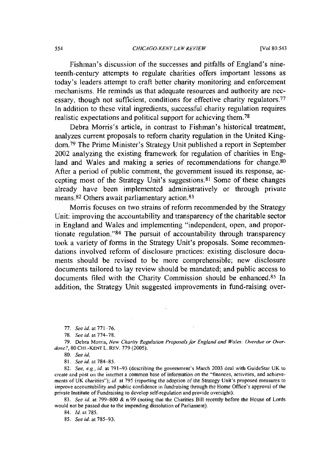Fishman's discussion of the successes and pitfalls of England's nineteenth-century attempts to regulate charities offers important lessons as today's leaders attempt to craft better charity monitoring and enforcement mechanisms. He reminds us that adequate resources and authority are necessary, though not sufficient, conditions for effective charity regulators.<sup>77</sup> In addition to these vital ingredients, successful charity regulation requires realistic expectations and political support for achieving them.78

Debra Morris's article, in contrast to Fishman's historical treatment, analyzes current proposals to reform charity regulation in the United Kingdom. 79 The Prime Minister's Strategy Unit published a report in September 2002 analyzing the existing framework for regulation of charities in England and Wales and making a series of recommendations for change.<sup>80</sup> After a period of public comment, the government issued its response, accepting most of the Strategy Unit's suggestions. 81 Some of these changes already have been implemented administratively or through private means. 82 Others await parliamentary action. <sup>83</sup>

Morris focuses on two strains of reform recommended by the Strategy Unit: improving the accountability and transparency of the charitable sector in England and Wales and implementing "independent, open, and proportionate regulation."<sup>84</sup> The pursuit of accountability through transparency took a variety of forms in the Strategy Unit's proposals. Some recommendations involved reform of disclosure practices: existing disclosure documents should be revised to be more comprehensible; new disclosure documents tailored to lay review should be mandated; and public access to documents filed with the Charity Commission should be enhanced.<sup>85</sup> In addition, the Strategy Unit suggested improvements in fund-raising over-

**79.** Debra Morris, *New Charity Regulation Proposals for England and Wales: Overdue or Overdone?,* 80 **CHI.-KENT** L. REv. **779** (2005).

80. *See id.*

**81.** *See id.* at 784-85.

*82. See, e.g., id.* at 791-93 (describing the government's March **2003** deal with GuideStar **UK** to create and post on the internet a common base of information on the "finances, activities, and achievements of UK charities"); *id.* at 795 (reporting the adoption of the Strategy Unit's proposed measures to improve accountability and public confidence in fundraising through the Home Office's approval of the private Institute of Fundraising to develop self-regulation and provide oversight).

83. *See id.* at **799-800** & n.99 (noting that the Charities Bill recently before the House of Lords would not be passed due to the impending dissolution of Parliament).

84. *Id.* at 785.

85. *See id.* at 785-93.

<sup>77.</sup> *See id.* at 771-76.

<sup>78.</sup> *See id.* at 774-78.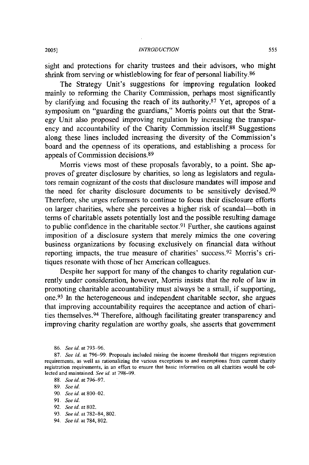sight and protections for charity trustees and their advisors, who might shrink from serving or whistleblowing for fear of personal liability.<sup>86</sup>

The Strategy Unit's suggestions for improving regulation looked mainly to reforming the Charity Commission, perhaps most significantly by clarifying and focusing the reach of its authority.87 Yet, apropos of a symposium on "guarding the guardians," Morris points out that the Strategy Unit also proposed improving regulation by increasing the transparency and accountability of the Charity Commission itself.<sup>88</sup> Suggestions along these lines included increasing the diversity of the Commission's board and the openness of its operations, and establishing a process for appeals of Commission decisions. <sup>89</sup>

Morris views most of these proposals favorably, to a point. She approves of greater disclosure by charities, so long as legislators and regulators remain cognizant of the costs that disclosure mandates will impose and the need for charity disclosure documents to be sensitively devised.<sup>90</sup> Therefore, she urges reformers to continue to focus their disclosure efforts on larger charities, where she perceives a higher risk of scandal-both in terms of charitable assets potentially lost and the possible resulting damage to public confidence in the charitable sector.<sup>91</sup> Further, she cautions against imposition of a disclosure system that merely mimics the one covering business organizations by focusing exclusively on financial data without reporting impacts, the true measure of charities' success. 92 Morris's critiques resonate with those of her American colleagues.

Despite her support for many of the changes to charity regulation currently under consideration, however, Morris insists that the role of law in promoting charitable accountability must always be a small, if supporting, one.93 In the heterogeneous and independent charitable sector, she argues that improving accountability requires the acceptance and action of charities themselves. 94 Therefore, although facilitating greater transparency and improving charity regulation are worthy goals, she asserts that government

- 88. *See id.* at 796-97.
- 89. *See id.*
- 90. *See id.* at **800-02.**
- **91.** *See id.*
- 92. *See id.* at 802.
- 93. *See id.* at 782-84, 802.
- *94. See id.* at 784, 802.

<sup>86.</sup> *See id.* at 793-96.

<sup>87.</sup> *See id.* at 796-99. Proposals included raising the income threshold that triggers registration requirements, as well as rationalizing the various exceptions to and exemptions from current charity registration requirements, in an effort to ensure that basic information on all charities would be collected and maintained. *See id.* at 798-99.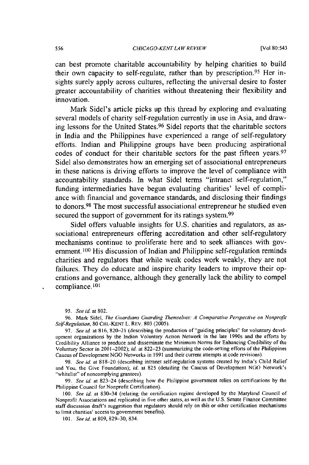can best promote charitable accountability **by** helping charities to build their own capacity to self-regulate, rather than **by** prescription. 95 Her insights surely apply across cultures, reflecting the universal desire to foster greater accountability of charities without threatening their flexibility and innovation.

Mark Sidel's article picks up this thread **by** exploring and evaluating several models of charity self-regulation currently in use in Asia, and drawing lessons for the United States. 96 Sidel reports that the charitable sectors in India and the Philippines have experienced a range of self-regulatory efforts. Indian and Philippine groups have been producing aspirational codes of conduct for their charitable sectors for the past fifteen years.<sup>97</sup> Sidel also demonstrates how an emerging set of associational entrepreneurs in these nations is driving efforts to improve the level of compliance with accountability standards. In what Sidel terms "intranet self-regulation," funding intermediaries have begun evaluating charities' level of compliance with financial and governance standards, and disclosing their findings to donors. 98 The most successful associational entrepreneur he studied even secured the support of government for its ratings system.<sup>99</sup>

Sidel offers valuable insights for **U.S.** charities and regulators, as associational entrepreneurs offering accreditation and other self-regulatory mechanisms continue to proliferate here and to seek alliances with government.<sup>100</sup> His discussion of Indian and Philippine self-regulation reminds charities and regulators that while weak codes work weakly, they are not failures. They do educate and inspire charity leaders to improve their operations and governance, although they generally lack the ability to compel compliance. **<sup>101</sup>**

**96.** Mark Sidel, The Guardians Guarding Themselves: **A** Comparative Perspective **on** Nonprofit *Self-Regulation,* **80 CHI.-KENT** L. REV. **803 (2005).**

97. *See* **id.** at **816,** 820-21 **(describing the production of "guiding principles" for voluntary devel**opment organizations **by** the Indian Voluntary Action Network in the late 1990s and the efforts **by** Credibility Alliance to produce and disseminate the Minimum Norms for Enhancing Credibility of the Voluntary Sector in 2001-2002); id. at 822-23 (summarizing the code-setting efforts of the Philippines Caucus of Development **NGO** Networks in 1991 and their current attempts at code revisions).

98. *See id.* at 818-20 (describing intranet self-regulation systems created **by** India's Child Relief and You, the Give Foundation); *id.* at **825** (detailing the Caucus of Development **NGO** Network's "whitelist" of noncomplying grantees).

99. *See* id. at 823-24 (describing how the Philippine government relies on certifications **by** the Philippine Council for Nonprofit Certification).

100. *See id.* at **830-34** (relating the certification regime developed **by** the Maryland Council of Nonprofit Associations and replicated in five other states, as well as the **U.S.** Senate Finance Committee staff discussion draft's suggestion that regulators should rely on this or other certification mechanisms to limit **charities'** access to government benefits).

101. *See* id. at 809, 829-30, 834.

<sup>95.</sup> See id. at 802.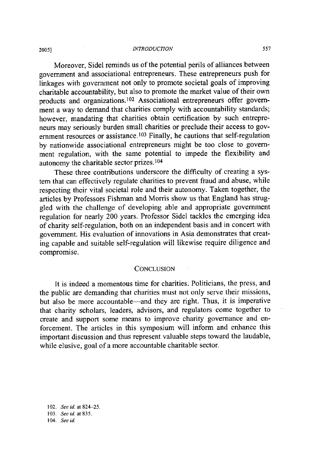#### *INTROD UCTION* **2005]**

Moreover, Sidel reminds us of the potential perils of alliances between government and associational entrepreneurs. These entrepreneurs push for linkages with government not only to promote societal goals of improving charitable accountability, but also to promote the market value of their own products and organizations.<sup>102</sup> Associational entrepreneurs offer government a way to demand that charities comply with accountability standards; however, mandating that charities obtain certification by such entrepreneurs may seriously burden small charities or preclude their access to government resources or assistance.<sup>103</sup> Finally, he cautions that self-regulation by nationwide associational entrepreneurs might be too close to government regulation, with the same potential to impede the flexibility and autonomy the charitable sector prizes. 104

These three contributions underscore the difficulty of creating a system that can effectively regulate charities to prevent fraud and abuse, while respecting their vital societal role and their autonomy. Taken together, the articles by Professors Fishman and Morris show us that England has struggled with the challenge of developing able and appropriate government regulation for nearly 200 years. Professor Sidel tackles the emerging idea of charity self-regulation, both on an independent basis and in concert with government. His evaluation of innovations in Asia demonstrates that creating capable and suitable self-regulation will likewise require diligence and compromise.

#### **CONCLUSION**

It is indeed a momentous time for charities. Politicians, the press, and the public are demanding that charities must not only serve their missions, but also be more accountable-and they are right. Thus, it is imperative that charity scholars, leaders, advisors, and regulators come together to create and support some means to improve charity governance and enforcement. The articles in this symposium will inform and enhance this important discussion and thus represent valuable steps toward the laudable, while elusive, goal of a more accountable charitable sector.

102. *See id.* at 824-25. 103. *Seeid.* at **835.** 104. *See id.*